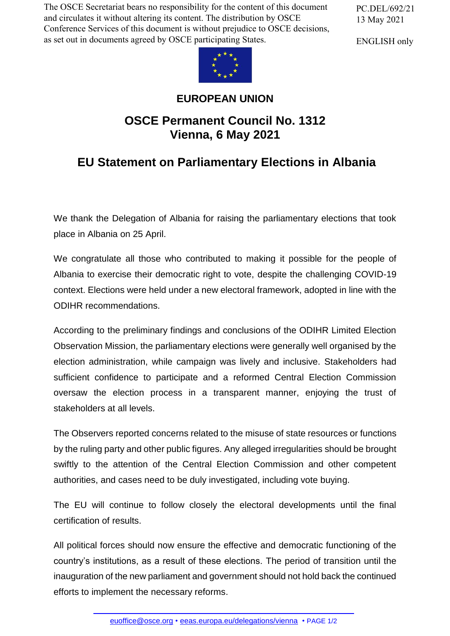The OSCE Secretariat bears no responsibility for the content of this document and circulates it without altering its content. The distribution by OSCE Conference Services of this document is without prejudice to OSCE decisions, as set out in documents agreed by OSCE participating States.

PC.DEL/692/21 13 May 2021

ENGLISH only



## **EUROPEAN UNION**

## **OSCE Permanent Council No. 1312 Vienna, 6 May 2021**

## **EU Statement on Parliamentary Elections in Albania**

We thank the Delegation of Albania for raising the parliamentary elections that took place in Albania on 25 April.

We congratulate all those who contributed to making it possible for the people of Albania to exercise their democratic right to vote, despite the challenging COVID-19 context. Elections were held under a new electoral framework, adopted in line with the ODIHR recommendations.

According to the preliminary findings and conclusions of the ODIHR Limited Election Observation Mission, the parliamentary elections were generally well organised by the election administration, while campaign was lively and inclusive. Stakeholders had sufficient confidence to participate and a reformed Central Election Commission oversaw the election process in a transparent manner, enjoying the trust of stakeholders at all levels.

The Observers reported concerns related to the misuse of state resources or functions by the ruling party and other public figures. Any alleged irregularities should be brought swiftly to the attention of the Central Election Commission and other competent authorities, and cases need to be duly investigated, including vote buying.

The EU will continue to follow closely the electoral developments until the final certification of results.

All political forces should now ensure the effective and democratic functioning of the country's institutions, as a result of these elections. The period of transition until the inauguration of the new parliament and government should not hold back the continued efforts to imp[lement the neces](mailto:euoffice@osce.org)[sary reforms.](http://eeas.europa.eu/delegations/vienna)

euoffice@osce.org • eeas.europa.eu/delegations/vienna • PAGE 1/2